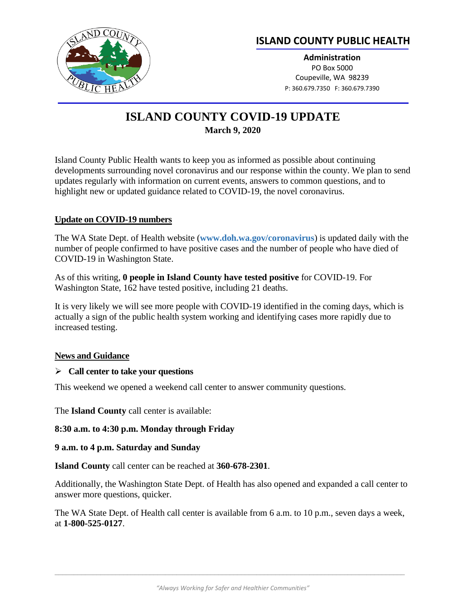

## **ISLAND COUNTY PUBLIC HEALTH**

**Administration** PO Box 5000 Coupeville, WA 98239 P: 360.679.7350 F: 360.679.7390

# **ISLAND COUNTY COVID-19 UPDATE March 9, 2020**

Island County Public Health wants to keep you as informed as possible about continuing developments surrounding novel coronavirus and our response within the county. We plan to send updates regularly with information on current events, answers to common questions, and to highlight new or updated guidance related to COVID-19, the novel coronavirus.

## **Update on COVID-19 numbers**

The WA State Dept. of Health website (**[www.doh.wa.gov/coronavirus](http://www.doh.wa.gov/coronavirus)**) is updated daily with the number of people confirmed to have positive cases and the number of people who have died of COVID-19 in Washington State.

As of this writing, **0 people in Island County have tested positive** for COVID-19. For Washington State, 162 have tested positive, including 21 deaths.

It is very likely we will see more people with COVID-19 identified in the coming days, which is actually a sign of the public health system working and identifying cases more rapidly due to increased testing.

## **News and Guidance**

#### ➢ **Call center to take your questions**

This weekend we opened a weekend call center to answer community questions.

The **Island County** call center is available:

**8:30 a.m. to 4:30 p.m. Monday through Friday** 

#### **9 a.m. to 4 p.m. Saturday and Sunday**

**Island County** call center can be reached at **360-678-2301**.

Additionally, the Washington State Dept. of Health has also opened and expanded a call center to answer more questions, quicker.

The WA State Dept. of Health call center is available from 6 a.m. to 10 p.m., seven days a week, at **1-800-525-0127**.

 $\_$  ,  $\_$  ,  $\_$  ,  $\_$  ,  $\_$  ,  $\_$  ,  $\_$  ,  $\_$  ,  $\_$  ,  $\_$  ,  $\_$  ,  $\_$  ,  $\_$  ,  $\_$  ,  $\_$  ,  $\_$  ,  $\_$  ,  $\_$  ,  $\_$  ,  $\_$  ,  $\_$  ,  $\_$  ,  $\_$  ,  $\_$  ,  $\_$  ,  $\_$  ,  $\_$  ,  $\_$  ,  $\_$  ,  $\_$  ,  $\_$  ,  $\_$  ,  $\_$  ,  $\_$  ,  $\_$  ,  $\_$  ,  $\_$  ,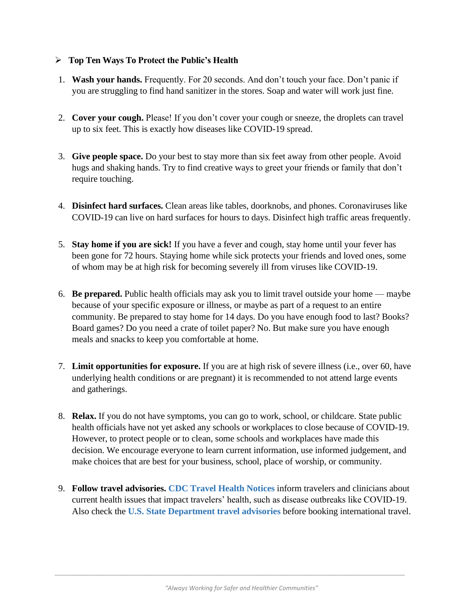## ➢ **Top Ten Ways To Protect the Public's Health**

- 1. **Wash your hands.** Frequently. For 20 seconds. And don't touch your face. Don't panic if you are struggling to find hand sanitizer in the stores. Soap and water will work just fine.
- 2. **Cover your cough.** Please! If you don't cover your cough or sneeze, the droplets can travel up to six feet. This is exactly how diseases like COVID-19 spread.
- 3. **Give people space.** Do your best to stay more than six feet away from other people. Avoid hugs and shaking hands. Try to find creative ways to greet your friends or family that don't require touching.
- 4. **Disinfect hard surfaces.** Clean areas like tables, doorknobs, and phones. Coronaviruses like COVID-19 can live on hard surfaces for hours to days. Disinfect high traffic areas frequently.
- 5. **Stay home if you are sick!** If you have a fever and cough, stay home until your fever has been gone for 72 hours. Staying home while sick protects your friends and loved ones, some of whom may be at high risk for becoming severely ill from viruses like COVID-19.
- 6. **Be prepared.** Public health officials may ask you to limit travel outside your home maybe because of your specific exposure or illness, or maybe as part of a request to an entire community. Be prepared to stay home for 14 days. Do you have enough food to last? Books? Board games? Do you need a crate of toilet paper? No. But make sure you have enough meals and snacks to keep you comfortable at home.
- 7. **Limit opportunities for exposure.** If you are at high risk of severe illness (i.e., over 60, have underlying health conditions or are pregnant) it is recommended to not attend large events and gatherings.
- 8. **Relax.** If you do not have symptoms, you can go to work, school, or childcare. State public health officials have not yet asked any schools or workplaces to close because of COVID-19. However, to protect people or to clean, some schools and workplaces have made this decision. We encourage everyone to learn current information, use informed judgement, and make choices that are best for your business, school, place of worship, or community.
- 9. **Follow travel advisories. [CDC Travel Health Notices](https://www.cdc.gov/coronavirus/2019-ncov/travelers/index.html)** inform travelers and clinicians about current health issues that impact travelers' health, such as disease outbreaks like COVID-19. Also check the **[U.S. State Department travel advisories](https://travel.state.gov/content/travel/en/traveladvisories/traveladvisories.html/)** before booking international travel.

 $\_$  ,  $\_$  ,  $\_$  ,  $\_$  ,  $\_$  ,  $\_$  ,  $\_$  ,  $\_$  ,  $\_$  ,  $\_$  ,  $\_$  ,  $\_$  ,  $\_$  ,  $\_$  ,  $\_$  ,  $\_$  ,  $\_$  ,  $\_$  ,  $\_$  ,  $\_$  ,  $\_$  ,  $\_$  ,  $\_$  ,  $\_$  ,  $\_$  ,  $\_$  ,  $\_$  ,  $\_$  ,  $\_$  ,  $\_$  ,  $\_$  ,  $\_$  ,  $\_$  ,  $\_$  ,  $\_$  ,  $\_$  ,  $\_$  ,